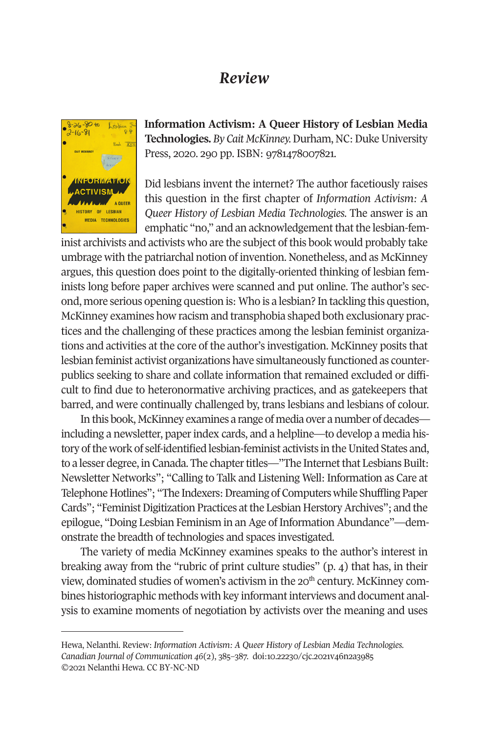## *Review*



**Information Activism: A Queer History of Lesbian Media Technologies.** *By Cait McKinney.* Durham, NC: Duke University Press, 2020. 290 pp. ISBN: 9781478007821.

Did lesbians invent the internet? The author facetiously raises this question in the first chapter of *Information Activism: A Queer History of Lesbian Media Technologies.* The answer is an emphatic "no," and an acknowledgement that the lesbian-fem-

inist archivists and activists who are the subject of this book would probably take umbrage with the patriarchal notion of invention. Nonetheless, and as McKinney argues, this question does point to the digitally-oriented thinking of lesbian feminists long before paper archives were scanned and put online. The author's second, more serious opening question is: Who is a lesbian? In tackling this question, McKinney examines how racism and transphobia shaped both exclusionary practices and the challenging of these practices among the lesbian feminist organizations and activities at the core of the author's investigation. McKinney posits that lesbian feminist activist organizations have simultaneously functioned as counterpublics seeking to share and collate information that remained excluded or difficult to find due to heteronormative archiving practices, and as gatekeepers that barred, and were continually challenged by, trans lesbians and lesbians of colour.

In this book, McKinney examines a range of media over a number of decades including a newsletter, paper index cards, and a helpline—to develop a media history of the work of self-identified lesbian-feminist activists in the United States and, to a lesser degree, in Canada. The chapter titles—"The Internet that Lesbians Built: Newsletter Networks"; "Calling to Talk and Listening Well: Information as Care at [Telephone Hotlines"; "The Ind](http://www.cjc-online.ca)exers: Dreamin[g of Computers while Shu](http://doi.org/10.22230/cjc.2021v46n2a3985)ffling Paper Cards"; "Feminist Digitization Practices at the Lesbian Herstory Archives"; and the epilogue, "Doing Lesbian Feminism in an Age of Information Abundance"—demonstrate the breadth of technologies and spaces investigated.

The variety of media McKinney examines speaks to the author's interest in breaking away from the "rubric of print culture studies" (p. 4) that has, in their view, dominated studies of women's activism in the 20<sup>th</sup> century. McKinney combines historiographic methods with key informant interviews and document analysis to examine moments of negotiation by activists over the meaning and uses

Hewa, Nelanthi. Review: *Information Activism: A Queer History of Lesbian Media Technologies. Canadian Journal of Communication 46*(2), 385–387. doi:10.22230/cjc.2021v46n2a3985 ©2021 Nelanthi Hewa. CC BY-NC-ND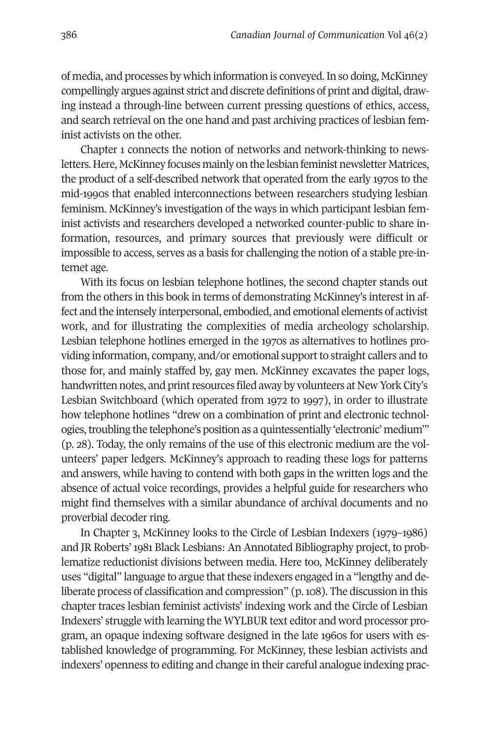386 *Canadian Journal of Communication* Vol 46(2)

of media, and processes by which information is conveyed. In so doing, McKinney compellingly argues against strict and discrete definitions of print and digital, drawing instead a through-line between current pressing questions of ethics, access, and search retrieval on the one hand and past archiving practices of lesbian feminist activists on the other.

Chapter 1 connects the notion of networks and network-thinking to newsletters. Here, McKinney focuses mainly on the lesbian feminist newsletter Matrices, the product of a self-described network that operated from the early 1970s to the mid-1990s that enabled interconnections between researchers studying lesbian feminism. McKinney's investigation of the ways in which participant lesbian feminist activists and researchers developed a networked counter-public to share information, resources, and primary sources that previously were difficult or impossible to access, serves as a basis for challenging the notion of a stable pre-internet age.

With its focus on lesbian telephone hotlines, the second chapter stands out from the others in this book in terms of demonstrating McKinney's interest in affect and the intensely interpersonal, embodied, and emotional elements of activist work, and for illustrating the complexities of media archeology scholarship. Lesbian telephone hotlines emerged in the 1970s as alternatives to hotlines providing information, company, and/or emotional support to straight callers and to those for, and mainly staffed by, gay men. McKinney excavates the paper logs, handwritten notes, and print resources filed away by volunteers at New York City's Lesbian Switchboard (which operated from 1972 to 1997), in order to illustrate how telephone hotlines "drew on a combination of print and electronic technologies, troubling the telephone's position as a quintessentially 'electronic' medium'" (p. 28). Today, the only remains of the use of this electronic medium are the volunteers' paper ledgers. McKinney's approach to reading these logs for patterns and answers, while having to contend with both gaps in the written logs and the absence of actual voice recordings, provides a helpful guide for researchers who might find themselves with a similar abundance of archival documents and no proverbial decoder ring.

In Chapter 3, McKinney looks to the Circle of Lesbian Indexers (1979–1986) and JR Roberts' 1981 Black Lesbians: An Annotated Bibliography project, to problematize reductionist divisions between media. Here too, McKinney deliberately uses "digital" language to argue that these indexers engaged in a "lengthy and deliberate process of classification and compression" (p. 108). The discussion in this chapter traces lesbian feminist activists' indexing work and the Circle of Lesbian Indexers' struggle with learning the WYLBUR text editor and word processor program, an opaque indexing software designed in the late 1960s for users with established knowledge of programming. For McKinney, these lesbian activists and indexers' openness to editing and change in their careful analogue indexing prac-